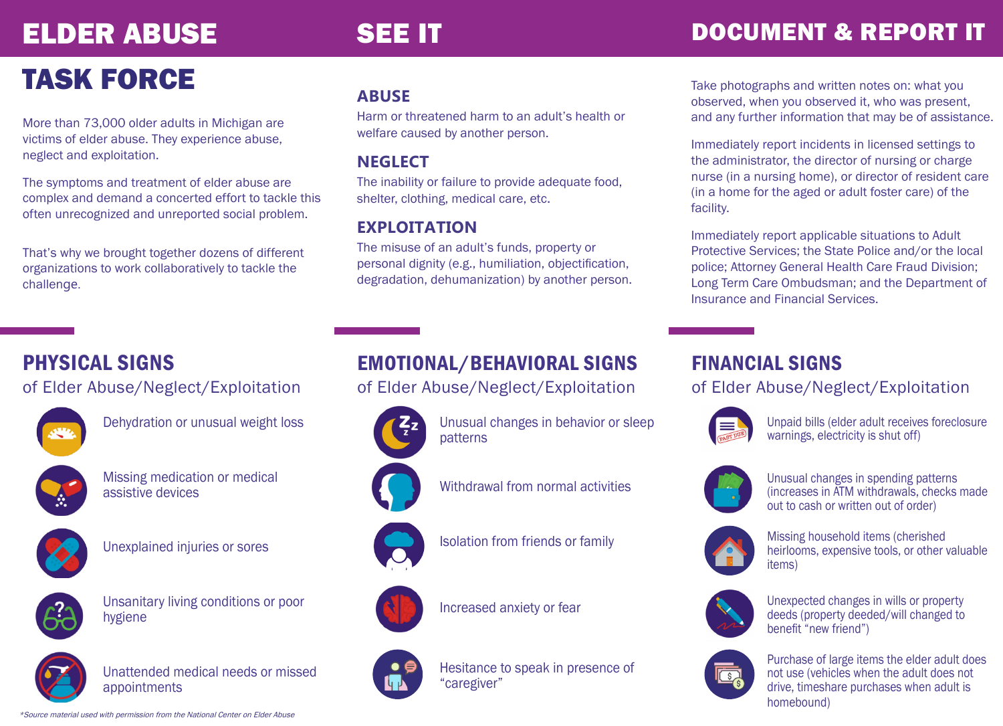## ELDER ABUSE

### SEE IT **DOCUMENT & REPORT IT**

## TASK FORCE

More than 73,000 older adults in Michigan are victims of elder abuse. They experience abuse, neglect and exploitation.

The symptoms and treatment of elder abuse are complex and demand a concerted effort to tackle this often unrecognized and unreported social problem.

That's why we brought together dozens of different organizations to work collaboratively to tackle the challenge.

#### **ABUSE**

Harm or threatened harm to an adult's health or welfare caused by another person.

#### **NEGLECT**

The inability or failure to provide adequate food, shelter, clothing, medical care, etc.

#### **EXPLOITATION**

The misuse of an adult's funds, property or personal dignity (e.g., humiliation, objectification, degradation, dehumanization) by another person. Take photographs and written notes on: what you observed, when you observed it, who was present, and any further information that may be of assistance.

Immediately report incidents in licensed settings to the administrator, the director of nursing or charge nurse (in a nursing home), or director of resident care (in a home for the aged or adult foster care) of the facility.

Immediately report applicable situations to Adult Protective Services; the State Police and/or the local police; Attorney General Health Care Fraud Division; Long Term Care Ombudsman; and the Department of Insurance and Financial Services.

### PHYSICAL SIGNS

of Elder Abuse/Neglect/Exploitation



Dehydration or unusual weight loss



Missing medication or medical assistive devices



Unexplained injuries or sores



Unsanitary living conditions or poor hygiene



Unattended medical needs or missed appointments

#### EMOTIONAL/BEHAVIORAL SIGNS of Elder Abuse/Neglect/Exploitation



Unusual changes in behavior or sleep patterns



Withdrawal from normal activities



Isolation from friends or family



Increased anxiety or fear



Hesitance to speak in presence of "caregiver"

#### FINANCIAL SIGNS

#### of Elder Abuse/Neglect/Exploitation



Unpaid bills (elder adult receives foreclosure warnings, electricity is shut off)



Unusual changes in spending patterns (increases in ATM withdrawals, checks made out to cash or written out of order)



Missing household items (cherished heirlooms, expensive tools, or other valuable items)



Unexpected changes in wills or property deeds (property deeded/will changed to benefit "new friend")



Purchase of large items the elder adult does not use (vehicles when the adult does not drive, timeshare purchases when adult is homebound)